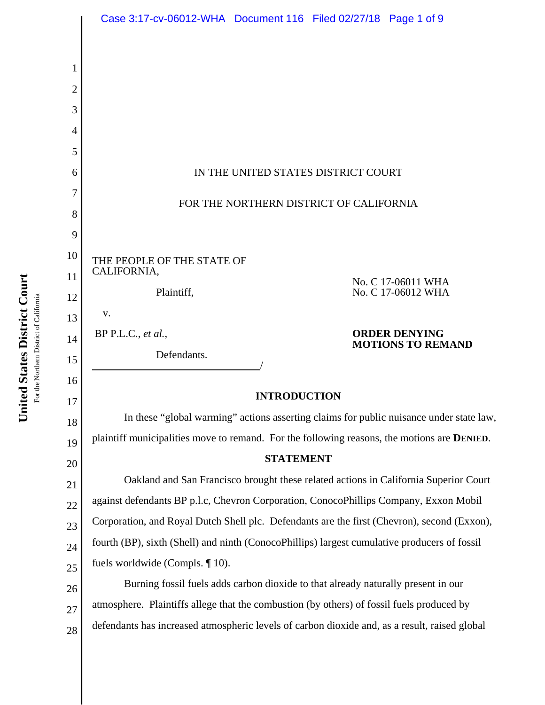|    | Case 3:17-cv-06012-WHA  Document 116  Filed 02/27/18  Page 1 of 9                                   |
|----|-----------------------------------------------------------------------------------------------------|
|    |                                                                                                     |
| 1  |                                                                                                     |
| 2  |                                                                                                     |
| 3  |                                                                                                     |
| 4  |                                                                                                     |
| 5  |                                                                                                     |
| 6  | IN THE UNITED STATES DISTRICT COURT                                                                 |
| 7  |                                                                                                     |
| 8  | FOR THE NORTHERN DISTRICT OF CALIFORNIA                                                             |
| 9  |                                                                                                     |
| 10 | THE PEOPLE OF THE STATE OF                                                                          |
| 11 | CALIFORNIA,<br>No. C 17-06011 WHA                                                                   |
| 12 | No. C 17-06012 WHA<br>Plaintiff,                                                                    |
| 13 | V.                                                                                                  |
| 14 | <b>ORDER DENYING</b><br>$BP$ P.L.C., et al.,<br><b>MOTIONS TO REMAND</b>                            |
| 15 | Defendants.                                                                                         |
| 16 |                                                                                                     |
| 17 | <b>INTRODUCTION</b>                                                                                 |
| 18 | In these "global warming" actions asserting claims for public nuisance under state law,             |
| 19 | plaintiff municipalities move to remand. For the following reasons, the motions are <b>DENIED</b> . |
| 20 | <b>STATEMENT</b>                                                                                    |
| 21 | Oakland and San Francisco brought these related actions in California Superior Court                |
| 22 | against defendants BP p.l.c, Chevron Corporation, ConocoPhillips Company, Exxon Mobil               |
| 23 | Corporation, and Royal Dutch Shell plc. Defendants are the first (Chevron), second (Exxon),         |
| 24 | fourth (BP), sixth (Shell) and ninth (ConocoPhillips) largest cumulative producers of fossil        |
| 25 | fuels worldwide (Compls. $\P$ 10).                                                                  |
| 26 | Burning fossil fuels adds carbon dioxide to that already naturally present in our                   |
| 27 | atmosphere. Plaintiffs allege that the combustion (by others) of fossil fuels produced by           |
| 28 | defendants has increased atmospheric levels of carbon dioxide and, as a result, raised global       |

United States District Court **United States District Court** For the Northern District of California For the Northern District of California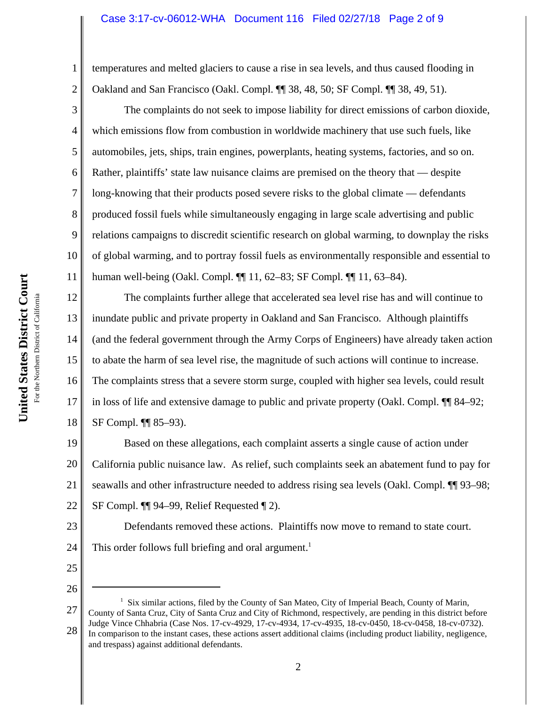#### Case 3:17-cv-06012-WHA Document 116 Filed 02/27/18 Page 2 of 9

temperatures and melted glaciers to cause a rise in sea levels, and thus caused flooding in Oakland and San Francisco (Oakl. Compl. ¶¶ 38, 48, 50; SF Compl. ¶¶ 38, 49, 51).

The complaints do not seek to impose liability for direct emissions of carbon dioxide, which emissions flow from combustion in worldwide machinery that use such fuels, like automobiles, jets, ships, train engines, powerplants, heating systems, factories, and so on. Rather, plaintiffs' state law nuisance claims are premised on the theory that — despite long-knowing that their products posed severe risks to the global climate — defendants produced fossil fuels while simultaneously engaging in large scale advertising and public relations campaigns to discredit scientific research on global warming, to downplay the risks of global warming, and to portray fossil fuels as environmentally responsible and essential to human well-being (Oakl. Compl. ¶¶ 11, 62–83; SF Compl. ¶¶ 11, 63–84).

12 13 14 15 16 17 18 The complaints further allege that accelerated sea level rise has and will continue to inundate public and private property in Oakland and San Francisco. Although plaintiffs (and the federal government through the Army Corps of Engineers) have already taken action to abate the harm of sea level rise, the magnitude of such actions will continue to increase. The complaints stress that a severe storm surge, coupled with higher sea levels, could result in loss of life and extensive damage to public and private property (Oakl. Compl. ¶¶ 84–92; SF Compl. ¶¶ 85–93).

19 20 21 22 Based on these allegations, each complaint asserts a single cause of action under California public nuisance law. As relief, such complaints seek an abatement fund to pay for seawalls and other infrastructure needed to address rising sea levels (Oakl. Compl.  $\P$ ] 93–98; SF Compl. ¶¶ 94–99, Relief Requested ¶ 2).

23 24 Defendants removed these actions. Plaintiffs now move to remand to state court. This order follows full briefing and oral argument.<sup>1</sup>

25

26

1

2

3

4

5

6

7

8

9

10

<sup>27</sup> 28 <sup>1</sup> Six similar actions, filed by the County of San Mateo, City of Imperial Beach, County of Marin, County of Santa Cruz, City of Santa Cruz and City of Richmond, respectively, are pending in this district before Judge Vince Chhabria (Case Nos. 17-cv-4929, 17-cv-4934, 17-cv-4935, 18-cv-0450, 18-cv-0458, 18-cv-0732). In comparison to the instant cases, these actions assert additional claims (including product liability, negligence, and trespass) against additional defendants.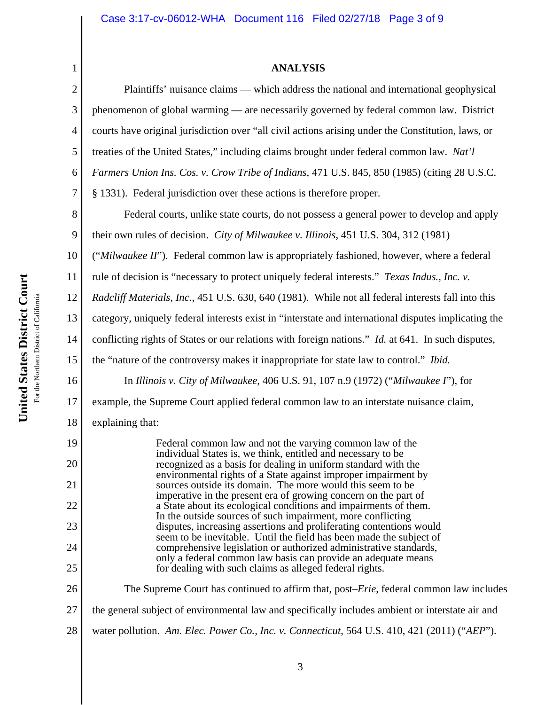# **ANALYSIS**

| $\mathbf{1}$   | <b>ANALYSIS</b>                                                                                                                                                                                    |
|----------------|----------------------------------------------------------------------------------------------------------------------------------------------------------------------------------------------------|
| $\mathfrak{2}$ | Plaintiffs' nuisance claims — which address the national and international geophysical                                                                                                             |
| 3              | phenomenon of global warming - are necessarily governed by federal common law. District                                                                                                            |
| $\overline{4}$ | courts have original jurisdiction over "all civil actions arising under the Constitution, laws, or                                                                                                 |
| 5              | treaties of the United States," including claims brought under federal common law. Nat'l                                                                                                           |
| 6              | Farmers Union Ins. Cos. v. Crow Tribe of Indians, 471 U.S. 845, 850 (1985) (citing 28 U.S.C.                                                                                                       |
| 7              | § 1331). Federal jurisdiction over these actions is therefore proper.                                                                                                                              |
| 8              | Federal courts, unlike state courts, do not possess a general power to develop and apply                                                                                                           |
| 9              | their own rules of decision. City of Milwaukee v. Illinois, 451 U.S. 304, 312 (1981)                                                                                                               |
| 10             | ("Milwaukee II"). Federal common law is appropriately fashioned, however, where a federal                                                                                                          |
| 11             | rule of decision is "necessary to protect uniquely federal interests." Texas Indus., Inc. v.                                                                                                       |
| 12             | Radcliff Materials, Inc., 451 U.S. 630, 640 (1981). While not all federal interests fall into this                                                                                                 |
| 13             | category, uniquely federal interests exist in "interstate and international disputes implicating the                                                                                               |
| 14             | conflicting rights of States or our relations with foreign nations." <i>Id.</i> at 641. In such disputes,                                                                                          |
| 15             | the "nature of the controversy makes it inappropriate for state law to control." Ibid.                                                                                                             |
| 16             | In Illinois v. City of Milwaukee, 406 U.S. 91, 107 n.9 (1972) ("Milwaukee $\Gamma$ "), for                                                                                                         |
| 17             | example, the Supreme Court applied federal common law to an interstate nuisance claim,                                                                                                             |
| 18             | explaining that:                                                                                                                                                                                   |
| 19             | Federal common law and not the varying common law of the<br>individual States is, we think, entitled and necessary to be                                                                           |
| 20             | recognized as a basis for dealing in uniform standard with the<br>environmental rights of a State against improper impairment by                                                                   |
| 21             | sources outside its domain. The more would this seem to be                                                                                                                                         |
| 22             | imperative in the present era of growing concern on the part of<br>a State about its ecological conditions and impairments of them.<br>In the outside sources of such impairment, more conflicting |
| 23             | disputes, increasing assertions and proliferating contentions would<br>seem to be inevitable. Until the field has been made the subject of                                                         |
| 24             | comprehensive legislation or authorized administrative standards,<br>only a federal common law basis can provide an adequate means                                                                 |
| 25             | for dealing with such claims as alleged federal rights.                                                                                                                                            |
| 26             | The Supreme Court has continued to affirm that, post– <i>Erie</i> , federal common law includes                                                                                                    |
| 27             | the general subject of environmental law and specifically includes ambient or interstate air and                                                                                                   |
| 28             | water pollution. Am. Elec. Power Co., Inc. v. Connecticut, 564 U.S. 410, 421 (2011) ("AEP").                                                                                                       |
|                |                                                                                                                                                                                                    |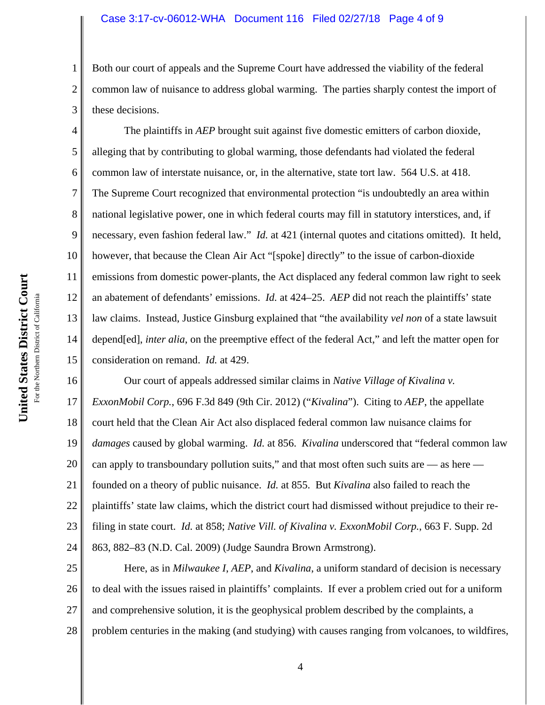#### Case 3:17-cv-06012-WHA Document 116 Filed 02/27/18 Page 4 of 9

3 Both our court of appeals and the Supreme Court have addressed the viability of the federal common law of nuisance to address global warming. The parties sharply contest the import of these decisions.

4 5 6 7 8 9 10 11 12 13 14 15 The plaintiffs in *AEP* brought suit against five domestic emitters of carbon dioxide, alleging that by contributing to global warming, those defendants had violated the federal common law of interstate nuisance, or, in the alternative, state tort law. 564 U.S. at 418. The Supreme Court recognized that environmental protection "is undoubtedly an area within national legislative power, one in which federal courts may fill in statutory interstices, and, if necessary, even fashion federal law." *Id.* at 421 (internal quotes and citations omitted). It held, however, that because the Clean Air Act "[spoke] directly" to the issue of carbon-dioxide emissions from domestic power-plants, the Act displaced any federal common law right to seek an abatement of defendants' emissions. *Id.* at 424–25. *AEP* did not reach the plaintiffs' state law claims. Instead, Justice Ginsburg explained that "the availability *vel non* of a state lawsuit depend[ed], *inter alia*, on the preemptive effect of the federal Act," and left the matter open for consideration on remand. *Id.* at 429.

16 17 18 19 20 21 22 23 24 Our court of appeals addressed similar claims in *Native Village of Kivalina v. ExxonMobil Corp.*, 696 F.3d 849 (9th Cir. 2012) ("*Kivalina*"). Citing to *AEP*, the appellate court held that the Clean Air Act also displaced federal common law nuisance claims for *damages* caused by global warming. *Id.* at 856. *Kivalina* underscored that "federal common law can apply to transboundary pollution suits," and that most often such suits are  $-$  as here  $$ founded on a theory of public nuisance. *Id.* at 855.But *Kivalina* also failed to reach the plaintiffs' state law claims, which the district court had dismissed without prejudice to their refiling in state court. *Id.* at 858; *Native Vill. of Kivalina v. ExxonMobil Corp.*, 663 F. Supp. 2d 863, 882–83 (N.D. Cal. 2009) (Judge Saundra Brown Armstrong).

25 26 27 28 Here, as in *Milwaukee I*, *AEP*, and *Kivalina*, a uniform standard of decision is necessary to deal with the issues raised in plaintiffs' complaints. If ever a problem cried out for a uniform and comprehensive solution, it is the geophysical problem described by the complaints, a problem centuries in the making (and studying) with causes ranging from volcanoes, to wildfires,

1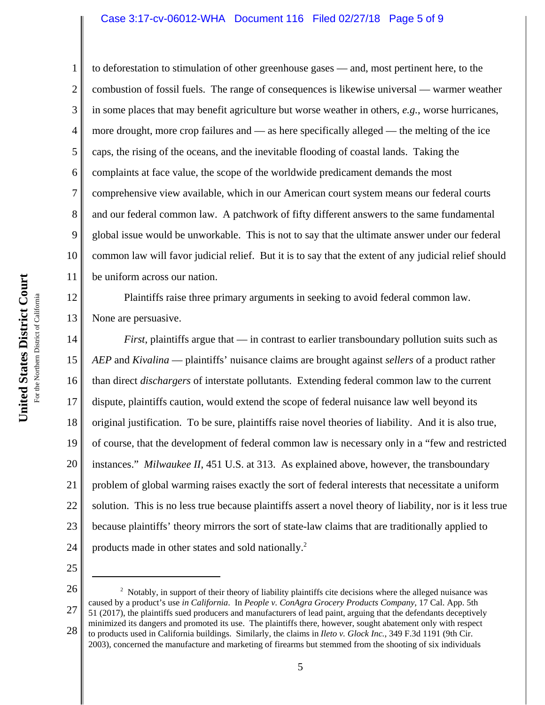#### Case 3:17-cv-06012-WHA Document 116 Filed 02/27/18 Page 5 of 9

1 2 3 4 5 6 7 8 9 10 11 to deforestation to stimulation of other greenhouse gases — and, most pertinent here, to the combustion of fossil fuels. The range of consequences is likewise universal — warmer weather in some places that may benefit agriculture but worse weather in others, *e.g.*, worse hurricanes, more drought, more crop failures and — as here specifically alleged — the melting of the ice caps, the rising of the oceans, and the inevitable flooding of coastal lands. Taking the complaints at face value, the scope of the worldwide predicament demands the most comprehensive view available, which in our American court system means our federal courts and our federal common law. A patchwork of fifty different answers to the same fundamental global issue would be unworkable. This is not to say that the ultimate answer under our federal common law will favor judicial relief. But it is to say that the extent of any judicial relief should be uniform across our nation.

12 13 Plaintiffs raise three primary arguments in seeking to avoid federal common law. None are persuasive.

14 15 16 17 18 19 20 21 22 23 24 *First*, plaintiffs argue that — in contrast to earlier transboundary pollution suits such as *AEP* and *Kivalina* — plaintiffs' nuisance claims are brought against *sellers* of a product rather than direct *dischargers* of interstate pollutants. Extending federal common law to the current dispute, plaintiffs caution, would extend the scope of federal nuisance law well beyond its original justification. To be sure, plaintiffs raise novel theories of liability. And it is also true, of course, that the development of federal common law is necessary only in a "few and restricted instances." *Milwaukee II*, 451 U.S. at 313. As explained above, however, the transboundary problem of global warming raises exactly the sort of federal interests that necessitate a uniform solution. This is no less true because plaintiffs assert a novel theory of liability, nor is it less true because plaintiffs' theory mirrors the sort of state-law claims that are traditionally applied to products made in other states and sold nationally.<sup>2</sup>

25

26 27 28  $2$  Notably, in support of their theory of liability plaintiffs cite decisions where the alleged nuisance was caused by a product's use *in California*. In *People v. ConAgra Grocery Products Company*, 17 Cal. App. 5th 51 (2017), the plaintiffs sued producers and manufacturers of lead paint, arguing that the defendants deceptively minimized its dangers and promoted its use. The plaintiffs there, however, sought abatement only with respect to products used in California buildings. Similarly, the claims in *Ileto v. Glock Inc.*, 349 F.3d 1191 (9th Cir. 2003), concerned the manufacture and marketing of firearms but stemmed from the shooting of six individuals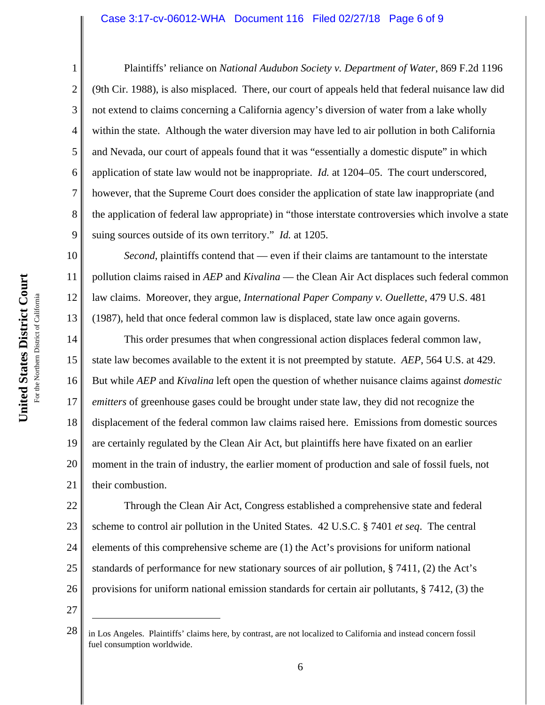#### Case 3:17-cv-06012-WHA Document 116 Filed 02/27/18 Page 6 of 9

Plaintiffs' reliance on *National Audubon Society v. Department of Water*, 869 F.2d 1196 (9th Cir. 1988), is also misplaced. There, our court of appeals held that federal nuisance law did not extend to claims concerning a California agency's diversion of water from a lake wholly within the state. Although the water diversion may have led to air pollution in both California and Nevada, our court of appeals found that it was "essentially a domestic dispute" in which application of state law would not be inappropriate. *Id.* at 1204–05. The court underscored, however, that the Supreme Court does consider the application of state law inappropriate (and the application of federal law appropriate) in "those interstate controversies which involve a state suing sources outside of its own territory." *Id.* at 1205.

*Second*, plaintiffs contend that — even if their claims are tantamount to the interstate pollution claims raised in *AEP* and *Kivalina* — the Clean Air Act displaces such federal common law claims. Moreover, they argue, *International Paper Company v. Ouellette*, 479 U.S. 481 (1987), held that once federal common law is displaced, state law once again governs.

14 15 16 17 18 19 20 21 This order presumes that when congressional action displaces federal common law, state law becomes available to the extent it is not preempted by statute. *AEP*, 564 U.S. at 429. But while *AEP* and *Kivalina* left open the question of whether nuisance claims against *domestic emitters* of greenhouse gases could be brought under state law, they did not recognize the displacement of the federal common law claims raised here. Emissions from domestic sources are certainly regulated by the Clean Air Act, but plaintiffs here have fixated on an earlier moment in the train of industry, the earlier moment of production and sale of fossil fuels, not their combustion.

22 23 24 25 26 Through the Clean Air Act, Congress established a comprehensive state and federal scheme to control air pollution in the United States. 42 U.S.C. § 7401 *et seq*. The central elements of this comprehensive scheme are (1) the Act's provisions for uniform national standards of performance for new stationary sources of air pollution, § 7411, (2) the Act's provisions for uniform national emission standards for certain air pollutants, § 7412, (3) the

27

1

2

3

4

5

6

7

8

9

10

11

12

<sup>28</sup> in Los Angeles. Plaintiffs' claims here, by contrast, are not localized to California and instead concern fossil fuel consumption worldwide.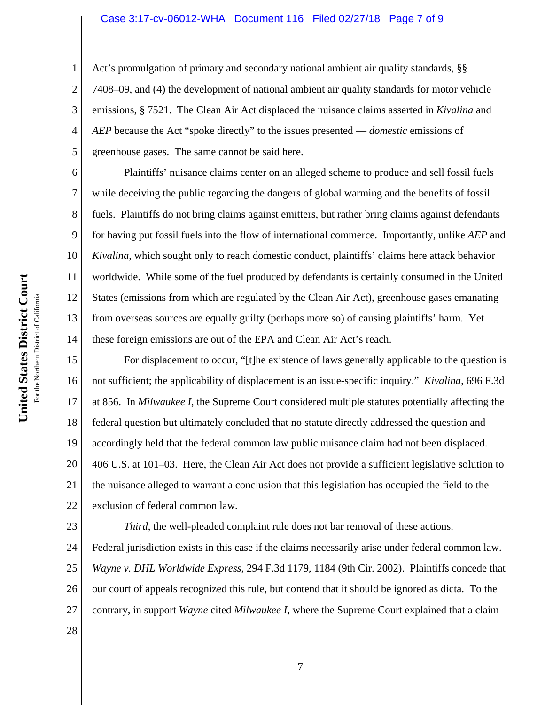#### Case 3:17-cv-06012-WHA Document 116 Filed 02/27/18 Page 7 of 9

Act's promulgation of primary and secondary national ambient air quality standards, §§ 7408–09, and (4) the development of national ambient air quality standards for motor vehicle emissions, § 7521. The Clean Air Act displaced the nuisance claims asserted in *Kivalina* and *AEP* because the Act "spoke directly" to the issues presented — *domestic* emissions of greenhouse gases. The same cannot be said here.

Plaintiffs' nuisance claims center on an alleged scheme to produce and sell fossil fuels while deceiving the public regarding the dangers of global warming and the benefits of fossil fuels. Plaintiffs do not bring claims against emitters, but rather bring claims against defendants for having put fossil fuels into the flow of international commerce. Importantly, unlike *AEP* and *Kivalina*, which sought only to reach domestic conduct, plaintiffs' claims here attack behavior worldwide. While some of the fuel produced by defendants is certainly consumed in the United States (emissions from which are regulated by the Clean Air Act), greenhouse gases emanating from overseas sources are equally guilty (perhaps more so) of causing plaintiffs' harm. Yet these foreign emissions are out of the EPA and Clean Air Act's reach.

15 16 17 18 19 20 21 22 For displacement to occur, "[t]he existence of laws generally applicable to the question is not sufficient; the applicability of displacement is an issue-specific inquiry." *Kivalina*, 696 F.3d at 856. In *Milwaukee I*, the Supreme Court considered multiple statutes potentially affecting the federal question but ultimately concluded that no statute directly addressed the question and accordingly held that the federal common law public nuisance claim had not been displaced. 406 U.S. at 101–03. Here, the Clean Air Act does not provide a sufficient legislative solution to the nuisance alleged to warrant a conclusion that this legislation has occupied the field to the exclusion of federal common law.

23 24 25 26 27 *Third*, the well-pleaded complaint rule does not bar removal of these actions. Federal jurisdiction exists in this case if the claims necessarily arise under federal common law. *Wayne v. DHL Worldwide Express*, 294 F.3d 1179, 1184 (9th Cir. 2002). Plaintiffs concede that our court of appeals recognized this rule, but contend that it should be ignored as dicta. To the contrary, in support *Wayne* cited *Milwaukee I*, where the Supreme Court explained that a claim

1

2

3

4

5

6

7

8

9

10

11

12

13

14

28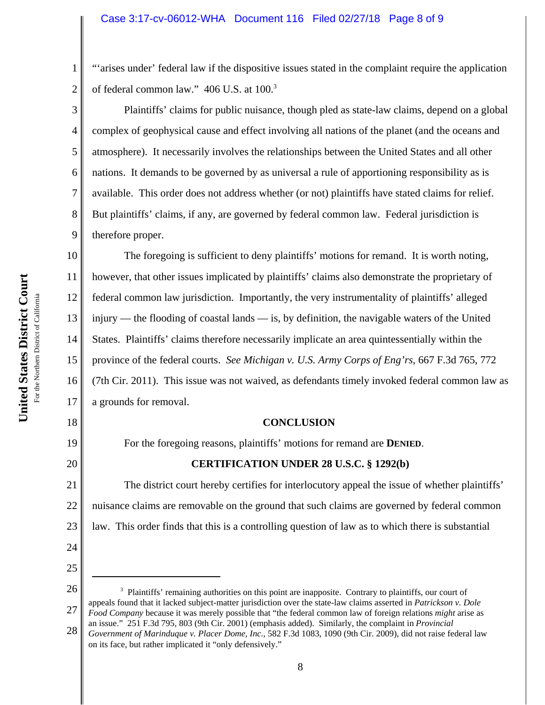"'arises under' federal law if the dispositive issues stated in the complaint require the application of federal common law." 406 U.S. at 100.<sup>3</sup>

Plaintiffs' claims for public nuisance, though pled as state-law claims, depend on a global complex of geophysical cause and effect involving all nations of the planet (and the oceans and atmosphere). It necessarily involves the relationships between the United States and all other nations. It demands to be governed by as universal a rule of apportioning responsibility as is available. This order does not address whether (or not) plaintiffs have stated claims for relief. But plaintiffs' claims, if any, are governed by federal common law. Federal jurisdiction is therefore proper.

10 11 12 13 14 15 16 17 The foregoing is sufficient to deny plaintiffs' motions for remand. It is worth noting, however, that other issues implicated by plaintiffs' claims also demonstrate the proprietary of federal common law jurisdiction. Importantly, the very instrumentality of plaintiffs' alleged injury — the flooding of coastal lands — is, by definition, the navigable waters of the United States. Plaintiffs' claims therefore necessarily implicate an area quintessentially within the province of the federal courts. *See Michigan v. U.S. Army Corps of Eng'rs*, 667 F.3d 765, 772 (7th Cir. 2011). This issue was not waived, as defendants timely invoked federal common law as a grounds for removal.

#### **CONCLUSION**

For the foregoing reasons, plaintiffs' motions for remand are **DENIED**.

### **CERTIFICATION UNDER 28 U.S.C. § 1292(b)**

21 22 23 The district court hereby certifies for interlocutory appeal the issue of whether plaintiffs' nuisance claims are removable on the ground that such claims are governed by federal common law. This order finds that this is a controlling question of law as to which there is substantial

1

2

3

4

5

6

7

8

9

18

19

20

24

25

**United States District Court**

<sup>26</sup> 27 <sup>3</sup> Plaintiffs' remaining authorities on this point are inapposite. Contrary to plaintiffs, our court of appeals found that it lacked subject-matter jurisdiction over the state-law claims asserted in *Patrickson v. Dole Food Company* because it was merely possible that "the federal common law of foreign relations *might* arise as an issue." 251 F.3d 795, 803 (9th Cir. 2001) (emphasis added). Similarly, the complaint in *Provincial*

<sup>28</sup> *Government of Marinduque v. Placer Dome, Inc.*, 582 F.3d 1083, 1090 (9th Cir. 2009), did not raise federal law on its face, but rather implicated it "only defensively."